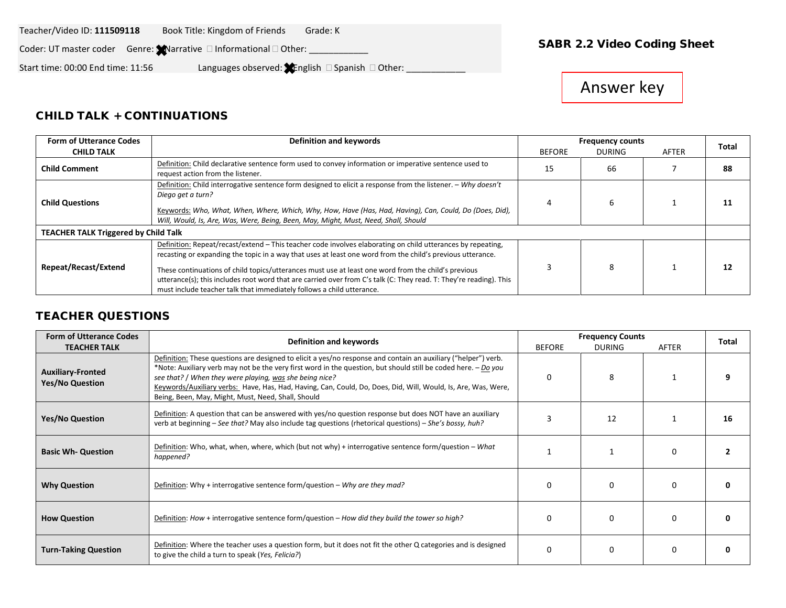#### Teacher/Video ID: **111509118** Book Title: Kingdom of Friends Grade: K

Coder: UT master coder Genre: Narrative and formational and Other: **National Coding Sheet Coding Sheet** 

Start time: 00:00 End time: 11:56 Languages observed:  $\bullet$  English  $\Box$  Spanish  $\Box$  Other:

# Answer key

### CHILD TALK + CONTINUATIONS

| <b>Form of Utterance Codes</b>              | Definition and keywords                                                                                                                                                                                                                                                                                                                                                                                                                                                                                                         | <b>Frequency counts</b> |               | <b>Total</b> |    |
|---------------------------------------------|---------------------------------------------------------------------------------------------------------------------------------------------------------------------------------------------------------------------------------------------------------------------------------------------------------------------------------------------------------------------------------------------------------------------------------------------------------------------------------------------------------------------------------|-------------------------|---------------|--------------|----|
| <b>CHILD TALK</b>                           |                                                                                                                                                                                                                                                                                                                                                                                                                                                                                                                                 | <b>BEFORE</b>           | <b>DURING</b> | AFTER        |    |
| <b>Child Comment</b>                        | Definition: Child declarative sentence form used to convey information or imperative sentence used to<br>request action from the listener.                                                                                                                                                                                                                                                                                                                                                                                      | 15                      | 66            |              | 88 |
| <b>Child Questions</b>                      | Definition: Child interrogative sentence form designed to elicit a response from the listener. - Why doesn't<br>Diego get a turn?<br>Keywords: Who, What, When, Where, Which, Why, How, Have (Has, Had, Having), Can, Could, Do (Does, Did),<br>Will, Would, Is, Are, Was, Were, Being, Been, May, Might, Must, Need, Shall, Should                                                                                                                                                                                             |                         | 6             |              | 11 |
| <b>TEACHER TALK Triggered by Child Talk</b> |                                                                                                                                                                                                                                                                                                                                                                                                                                                                                                                                 |                         |               |              |    |
| Repeat/Recast/Extend                        | Definition: Repeat/recast/extend - This teacher code involves elaborating on child utterances by repeating,<br>recasting or expanding the topic in a way that uses at least one word from the child's previous utterance.<br>These continuations of child topics/utterances must use at least one word from the child's previous<br>utterance(s); this includes root word that are carried over from C's talk (C: They read. T: They're reading). This<br>must include teacher talk that immediately follows a child utterance. |                         | 8             |              | 12 |

### TEACHER QUESTIONS

| <b>Form of Utterance Codes</b>                     | Definition and keywords                                                                                                                                                                                                                                                                                                                                                                                                                                            |               | <b>Frequency Counts</b> |          |       |  |  |
|----------------------------------------------------|--------------------------------------------------------------------------------------------------------------------------------------------------------------------------------------------------------------------------------------------------------------------------------------------------------------------------------------------------------------------------------------------------------------------------------------------------------------------|---------------|-------------------------|----------|-------|--|--|
| <b>TEACHER TALK</b>                                |                                                                                                                                                                                                                                                                                                                                                                                                                                                                    | <b>BEFORE</b> | <b>DURING</b>           | AFTER    | Total |  |  |
| <b>Auxiliary-Fronted</b><br><b>Yes/No Question</b> | Definition: These questions are designed to elicit a yes/no response and contain an auxiliary ("helper") verb.<br>*Note: Auxiliary verb may not be the very first word in the question, but should still be coded here. - Do you<br>see that? / When they were playing, was she being nice?<br>Keywords/Auxiliary verbs: Have, Has, Had, Having, Can, Could, Do, Does, Did, Will, Would, Is, Are, Was, Were,<br>Being, Been, May, Might, Must, Need, Shall, Should | n             | 8                       |          |       |  |  |
| <b>Yes/No Question</b>                             | Definition: A question that can be answered with yes/no question response but does NOT have an auxiliary<br>verb at beginning - See that? May also include tag questions (rhetorical questions) - She's bossy, huh?                                                                                                                                                                                                                                                | 12            |                         |          |       |  |  |
| <b>Basic Wh- Question</b>                          | Definition: Who, what, when, where, which (but not why) + interrogative sentence form/question - What<br>happened?                                                                                                                                                                                                                                                                                                                                                 |               |                         | $\Omega$ |       |  |  |
| <b>Why Question</b>                                | Definition: Why + interrogative sentence form/question – Why are they mad?                                                                                                                                                                                                                                                                                                                                                                                         | O             |                         | O        |       |  |  |
| <b>How Question</b>                                | Definition: How + interrogative sentence form/question – How did they build the tower so high?                                                                                                                                                                                                                                                                                                                                                                     | n             |                         | n        |       |  |  |
| <b>Turn-Taking Question</b>                        | Definition: Where the teacher uses a question form, but it does not fit the other Q categories and is designed<br>to give the child a turn to speak (Yes, Felicia?)                                                                                                                                                                                                                                                                                                | $\Omega$      | n                       | $\Omega$ |       |  |  |